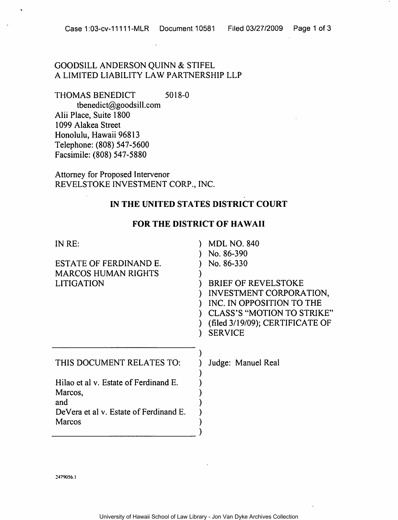### GOODSILL ANDERSON QUINN & STIFEL A LIMITED LIABILITY LAW PARTNERSHIP LLP

THOMAS BENEDICT 5018-0

tbenedict@goodsill.com Alii Place, Suite 1800 1099 Alakea Street Honolulu, Hawaii 96813 Telephone: (808) 547-5600 Facsimile: (808) 547-5880

Attorney for Proposed Intervenor REVELSTOKE INVESTMENT CORP., INC.

### IN THE UNITED STATES DISTRICT COURT

### FOR THE DISTRICT OF HAWAII

| IN RE:                                 | <b>MDL NO. 840</b>              |
|----------------------------------------|---------------------------------|
|                                        | No. 86-390                      |
| ESTATE OF FERDINAND E.                 | No. 86-330                      |
| <b>MARCOS HUMAN RIGHTS</b>             |                                 |
| <b>LITIGATION</b>                      | <b>BRIEF OF REVELSTOKE</b>      |
|                                        | INVESTMENT CORPORATION,         |
|                                        | INC. IN OPPOSITION TO THE       |
|                                        | CLASS'S "MOTION TO STRIKE"      |
|                                        | (filed 3/19/09); CERTIFICATE OF |
|                                        |                                 |
|                                        | <b>SERVICE</b>                  |
|                                        |                                 |
|                                        |                                 |
| THIS DOCUMENT RELATES TO:              | Judge: Manuel Real              |
|                                        |                                 |
| Hilao et al v. Estate of Ferdinand E.  |                                 |
| Marcos,                                |                                 |
| and                                    |                                 |
| DeVera et al v. Estate of Ferdinand E. |                                 |
| Marcos                                 |                                 |
|                                        |                                 |
|                                        |                                 |

2479056.1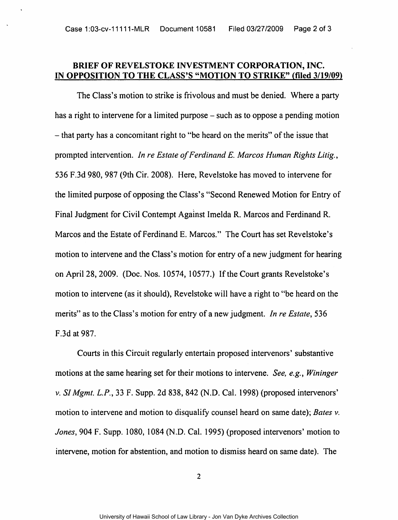### BRIEF OF REVELSTOKE INVESTMENT CORPORATION, INC. IN OPPOSITION TO THE CLASS'S "MOTION TO STRIKE" (flied 3/19/09)

The Class's motion to strike is frivolous and must be denied. Where a party has a right to intervene for a limited purpose – such as to oppose a pending motion  $-$  that party has a concomitant right to "be heard on the merits" of the issue that prompted intervention. *In re Estate of Ferdinand E. Marcos Human Rights Litig.*, 536 F.3d 980, 987 (9th Cir. 2008). Here, Revelstoke has moved to intervene for the limited purpose of opposing the Class's "Second Renewed Motion for Entry of Final Judgment for Civil Contempt Against Imelda R. Marcos and Ferdinand R. Marcos and the Estate of Ferdinand E. Marcos." The Court has set Revelstoke's motion to intervene and the Class's motion for entry of a new judgment for hearing on April 28, 2009. (Doc. Nos. 10574,10577.) If the Court grants Revelstoke's motion to intervene (as it should), Revelstoke will have a right to "be heard on the merits" as to the Class's motion for entry of a new judgment. *In re Estate*, 536 F.3d at 987.

Courts in this Circuit regularly entertain proposed intervenors' substantive motions at the same hearing set for their motions to intervene. *See, e.g., Wininger v.* S1 *Mgmt. L.P.,* 33 F. Supp. 2d 838, 842 (N.D. Cal. 1998) (proposed intervenors' motion to intervene and motion to disqualify counsel heard on same date); *Bates v. Jones,* 904 F. Supp. 1080, 1084 (N.D. Cal. 1995) (proposed intervenors' motion to intervene, motion for abstention, and motion to dismiss heard on same date). The

2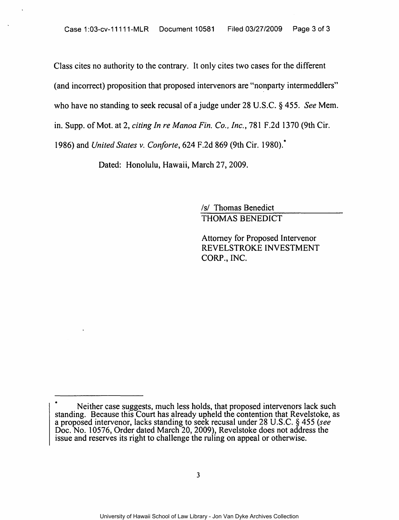Class cites no authority to the contrary. It only cites two cases for the different (and incorrect) proposition that proposed intervenors are "nonparty intermeddlers" who have no standing to seek recusal of a judge under 28 U.S.C. § 455. *See* Mem. in. Supp. of Mot. at 2, *citing In re Manoa Fin. Co .. Inc.,* 781 F.2d 1370 (9th Cir. 1986) and *United States v. Con/orte,* 624 F.2d 869 (9th Cir. 1980):

Dated: Honolulu, Hawaii, March 27, 2009.

/s/ Thomas Benedict THOMAS BENEDICT

Attorney for Proposed Intervenor REVELSTROKE INVESTMENT CORP., INC.

Neither case suggests, much less holds, that proposed intervenors lack such standing. Because this Court has already upheld the contention that Revelstoke, as a proposed intervenor, lacks standing to seek recusal under 28 U.S.C. § 455 *(see*  Doc. No. 10576, Order dated March 20, 2009), Revelstoke does not address the issue and reserves its right to challenge the ruling on appeal or otherwise.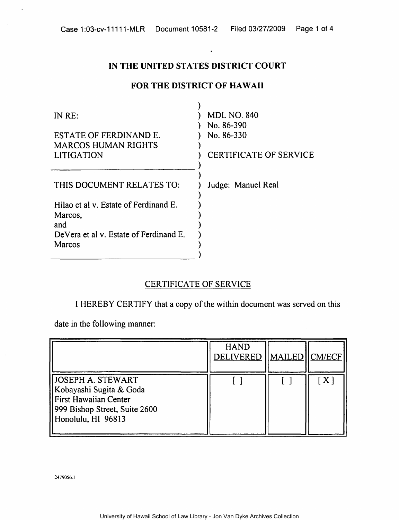# IN THE UNITED STATES DISTRICT COURT

 $\ddot{\phantom{a}}$ 

## FOR THE DISTRICT OF HAWAII

| IN RE:                                 | <b>MDL NO. 840</b>            |
|----------------------------------------|-------------------------------|
| ESTATE OF FERDINAND E.                 | No. 86-390<br>No. 86-330      |
| <b>MARCOS HUMAN RIGHTS</b>             |                               |
| <b>LITIGATION</b>                      | <b>CERTIFICATE OF SERVICE</b> |
| THIS DOCUMENT RELATES TO:              | Judge: Manuel Real            |
| Hilao et al v. Estate of Ferdinand E.  |                               |
| Marcos,<br>and                         |                               |
| DeVera et al v. Estate of Ferdinand E. |                               |
| Marcos                                 |                               |
|                                        |                               |

### CERTIFICATE OF SERVICE

I HEREBY CERTIFY that a copy of the within document was served on this

date in the following manner:

|                                                                                                                              | <b>HAND</b><br>DELIVERED   MAILED  CM/ECF |              |
|------------------------------------------------------------------------------------------------------------------------------|-------------------------------------------|--------------|
| JOSEPH A. STEWART<br>Kobayashi Sugita & Goda<br>First Hawaiian Center<br>999 Bishop Street, Suite 2600<br>Honolulu, HI 96813 |                                           | $\mathbf{X}$ |

:!479056.J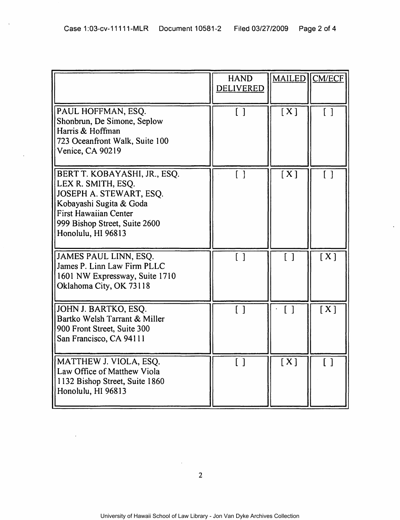$\bar{\mathcal{A}}$ 

|                                                                                                                                                                                                 | <b>HAND</b><br><b>DELIVERED</b>   | <b>MAILED</b>     | <b>CM/ECF</b>     |
|-------------------------------------------------------------------------------------------------------------------------------------------------------------------------------------------------|-----------------------------------|-------------------|-------------------|
| PAUL HOFFMAN, ESQ.<br>Shonbrun, De Simone, Seplow<br>Harris & Hoffman<br>723 Oceanfront Walk, Suite 100<br><b>Venice, CA 90219</b>                                                              | $\overline{1}$                    | [X]               | $\lceil \rceil$   |
| BERT T. KOBAYASHI, JR., ESQ.<br>LEX R. SMITH, ESQ.<br>JOSEPH A. STEWART, ESQ.<br>Kobayashi Sugita & Goda<br><b>First Hawaiian Center</b><br>999 Bishop Street, Suite 2600<br>Honolulu, HI 96813 | $\begin{bmatrix} 1 \end{bmatrix}$ | [X]               | $\lceil$ $\rceil$ |
| JAMES PAUL LINN, ESQ.<br>James P. Linn Law Firm PLLC<br>1601 NW Expressway, Suite 1710<br>Oklahoma City, OK 73118                                                                               | $\lceil \rceil$                   | $\lceil$ $\rceil$ | [X]               |
| JOHN J. BARTKO, ESQ.<br>Bartko Welsh Tarrant & Miller<br>900 Front Street, Suite 300<br>San Francisco, CA 94111                                                                                 |                                   | $\lceil$ 1        | [X]               |
| MATTHEW J. VIOLA, ESQ.<br>Law Office of Matthew Viola<br>1132 Bishop Street, Suite 1860<br>Honolulu, HI 96813                                                                                   | $\lceil$ $\rceil$                 | [X]               | $\lceil$ $\rceil$ |

 $\ddot{\phantom{a}}$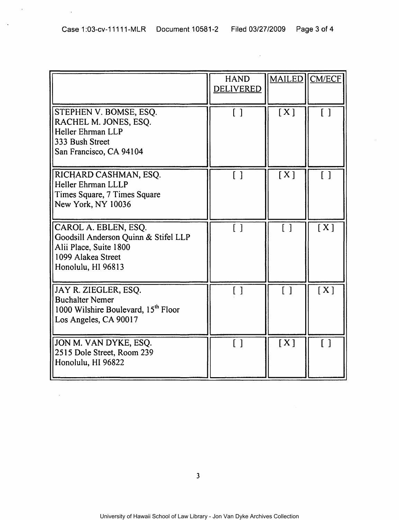$\hat{\boldsymbol{\beta}}$ 

 $\bar{z}$ 

 $\bar{\mathcal{A}}$ 

 $\sim$   $\sim$ 

 $\sim$ 

|                                                                                                                                    | <b>HAND</b><br><b>DELIVERED</b> | <b>MAILED</b>                     | CM/ECF                          |
|------------------------------------------------------------------------------------------------------------------------------------|---------------------------------|-----------------------------------|---------------------------------|
| STEPHEN V. BOMSE, ESQ.<br>RACHEL M. JONES, ESQ.<br>Heller Ehrman LLP<br>333 Bush Street<br>San Francisco, CA 94104                 | $\begin{bmatrix} \end{bmatrix}$ | [X]                               | $\begin{bmatrix} \end{bmatrix}$ |
| RICHARD CASHMAN, ESQ.<br>Heller Ehrman LLLP<br>Times Square, 7 Times Square<br>New York, NY 10036                                  | $\lceil \rceil$                 | [X]                               | $\lceil \rceil$                 |
| CAROL A. EBLEN, ESQ.<br>Goodsill Anderson Quinn & Stifel LLP<br>Alii Place, Suite 1800<br>1099 Alakea Street<br>Honolulu, HI 96813 | [ ]                             | $\begin{bmatrix} 1 \end{bmatrix}$ | [X]                             |
| JAY R. ZIEGLER, ESQ.<br><b>Buchalter Nemer</b><br>1000 Wilshire Boulevard, 15th Floor<br>Los Angeles, CA 90017                     | $\lceil \rceil$                 | $\lceil$ $\rceil$                 | [X]                             |
| JON M. VAN DYKE, ESQ.<br>2515 Dole Street, Room 239<br>Honolulu, HI 96822                                                          |                                 | [X]                               | $\lceil$ $\rceil$               |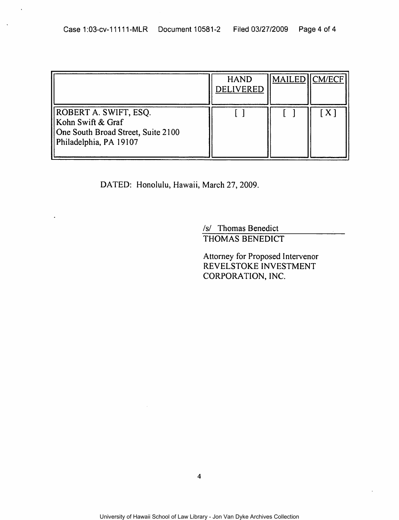|                                                                                                            | <b>HAND</b><br><b>DELIVERED</b> | MAILED CM/ECF |
|------------------------------------------------------------------------------------------------------------|---------------------------------|---------------|
| ROBERT A. SWIFT, ESQ.<br>Kohn Swift & Graf<br>One South Broad Street, Suite 2100<br>Philadelphia, PA 19107 |                                 |               |

DATED: Honolulu, Hawaii, March 27, 2009.

/s/ Thomas Benedict THOMAS BENEDICT

Attorney for Proposed Intervenor REVELSTOKE INVESTMENT CORPORATION, INC.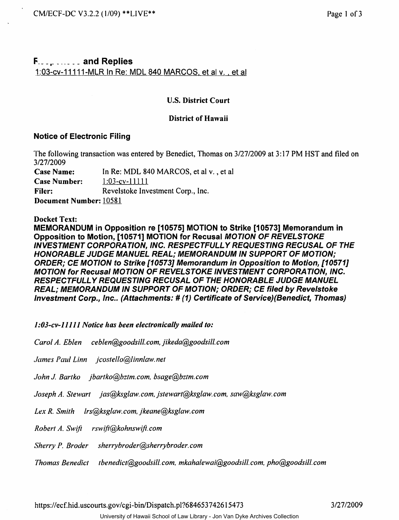# F \_\_\_ • \_\_\_\_\_\_\_ and Replies 1:03-cv-11111-MLR In Re: MDL 840 MARCOS, et al v., et al.

### U.S. District Court

### District of Hawaii

### Notice of Electronic Filing

The following transaction was entered by Benedict, Thomas on 3/27/2009 at 3:17 PM HST and filed on 3/27/2009

Case Name: In Re: MDL 840 MARCOS, et al v. , et al

Case Number: 1:03-cv-11111

Filer: Revelstoke Investment Corp., Inc.

Document Number: 10581

Docket Text:

MEMORANDUM in Opposition re [10575] MOTION to Strike [10573] Memorandum in Opposition to Motion, [10571] MOTION for Recusal MOTION OF REVELSTOKE INVESTMENT CORPORATION, INC. RESPECTFULL Y REQUESTING RECUSAL OF THE HONORABLE JUDGE MANUEL REAL; MEMORANDUM IN SUPPORT OF MOTION; ORDER; CE MOTION to Strike [10573] Memorandum in Opposition to Motion, [10571] MOTION for Recusal MOTION OF REVELSTOKE INVESTMENT CORPORATION, INC. RESPECTFULL Y REQUESTING RECUSAL OF THE HONORABLE JUDGE MANUEL REAL; MEMORANDUM IN SUPPORT OF MOTION; ORDER; CE filed by Revelstoke Investment Corp., Inc.. (Attachments: # (1) Certificate of Service)(Benedict, Thomas)

*1 :03-cv-ll111 Notice lias been electronically mailed to:* 

*Carol A. Eblen ceblen@goodsill.com,jikeda@goodsill.com* 

*James Paul Linn jcostello@linnlaw.net* 

*John J. Bartko jbartko@bztm.com. bsage@bztm.com* 

*Joseph A. Stewart jas@ksglaw.com. jstewart@ksglaw. com, saw@ksglaw.com* 

*Lex R. Smith lrs@ksglaw.com, jkeane@ksglaw. com* 

*Robert A. SwifJ rsw!fi@kohnswifJ. com* 

*Sherry P. Broder sherrybroder@sherrybroder. com* 

*Thomas Benedict tbenedict@goodsill.com. mkahalewai@goodsill.com. pho@goodsill.com* 

https://ecf.hid.uscourts.gov/cgi-bin/Dispatch.pl?684653742615473 3/27/2009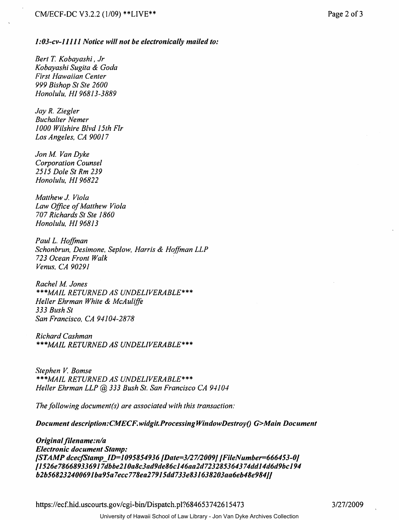#### *1* :03~cv-l1lll *Notice will not be electronically mailed to:*

*Bert* T. *Kobayashi, Jr Kobayashi Sugita* & *Goda First Hawaiian Center 999 Bishop St Ste 2600 Honolulu, HI* 96813-3889

*Jay R. Ziegler Buchalter Nemer 1000 Wilshire Blvd 15th Fir Los Angeles, CA 90017* 

Jon M. Van Dyke *Corporation Counsel 2515 Dole St Rm 239 Honolulu, HI* 96822

*Matthew J. Viola Law Office of Matthew Viola 707 Richards St Ste 1860 Honolulu. HI* 96813

*Paul* L. *Hoffman Schonbrun, Desimone, Seplow, Harris* & *Hoffman LLP 723 Ocean Front Walk . Venus, CA 90291* 

*Rachel M Jones \*\*\*MAIL RETURNED AS UNDELIVERABLE\*\*\* Heller Ehrman White* & *McAuliffe 333 Bush St San Francisco, CA 94104-2878*  999 Bishop St S<br>Honolulu, HI 9d<br>Jay R. Ziegler<br>Buchalter Neme<br>1000 Wilshire E<br>Los Angeles, C.<br>Jon M. Van Dyl<br>Corporation Co<br>2515 Dole St Ri<br>Honolulu, HI 9d<br>Matthew J. Viol<br>Law Office of M<br>707 Richards St<br>Honolulu, HI 9d<br>Pa

*Richard Cashman \*\*\*MAIL RETURNED AS UNDELIVERABLE\*\*\** 

**Stephen V. Bomse** *\*\*\*MAIL RETURNED AS UNDELIVERABLE\*\*\* Heller Ehrman LLP* @ 333 *Bush St. San Francisco CA 9-1104* 

*The following document(s) are associated with this transaction:* 

*Document description:CMECF.widgit.ProcessingWindowDestroy() G>Main Document* 

*Original filename:nla Electronic document Stamp: /STAMP dcecjStamp\_lD=1095854936/Date=3127120091IFileNumber=666453-01 11526e786689336917dbbe210a8c3ad9de86c146aa2d723285364374dd14d6d9bc194 b2b568232400691ba95a7ecc778ea27915dd733e831638203aa6eb48e9841J* 

https://ecf.hid.uscourts.gov/cgi-bin/Dispatch.pl?684653742615473

3/27/2009